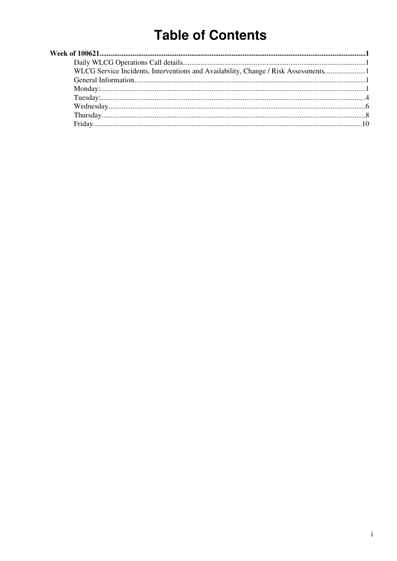# **Table of Contents**

| WLCG Service Incidents, Interventions and Availability, Change / Risk Assessments1 |  |
|------------------------------------------------------------------------------------|--|
|                                                                                    |  |
|                                                                                    |  |
|                                                                                    |  |
|                                                                                    |  |
|                                                                                    |  |
|                                                                                    |  |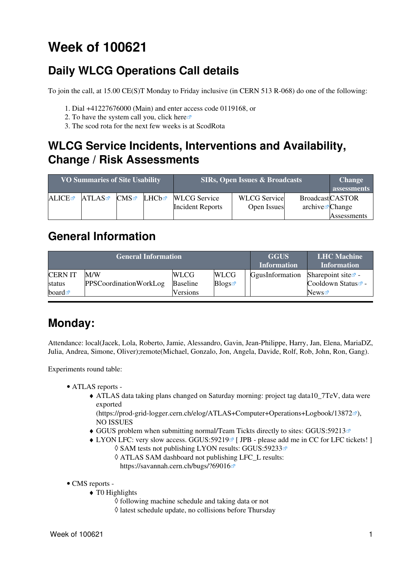# <span id="page-1-0"></span>**Week of 100621**

## <span id="page-1-1"></span>**Daily WLCG Operations Call details**

To join the call, at 15.00 CE(S)T Monday to Friday inclusive (in CERN 513 R-068) do one of the following:

- 1. Dial +41227676000 (Main) and enter access code 0119168, or
- 2. To have the system call you, click [here](https://audioconf.cern.ch/call/0119168) $\Phi$
- 3. The scod rota for the next few weeks is at [ScodRota](https://twiki.cern.ch/twiki/bin/view/LCG/ScodRota)

### <span id="page-1-2"></span>**WLCG Service Incidents, Interventions and Availability, Change / Risk Assessments**

| <b>VO Summaries of Site Usability</b> |       | <b>SIRs, Open Issues &amp; Broadcasts</b> | <b>Change</b><br>assessments |                         |                     |                                         |             |
|---------------------------------------|-------|-------------------------------------------|------------------------------|-------------------------|---------------------|-----------------------------------------|-------------|
| ALICE                                 | ATLAS | CMS                                       | LHCb☞                        | <b>WLCG</b> Service     | <b>WLCG</b> Service | <b>BroadcastCASTOR</b>                  |             |
|                                       |       |                                           |                              | <b>Incident Reports</b> | Open Issues         | $\archive\overline{\mathcal{C}}$ Change |             |
|                                       |       |                                           |                              |                         |                     |                                         | Assessments |

### <span id="page-1-3"></span>**General Information**

|                      | <b>General Information</b>    |                 |             | <b>GGUS</b><br><b>Information</b> | <b>LHC</b> Machine<br><b>Information</b> |
|----------------------|-------------------------------|-----------------|-------------|-----------------------------------|------------------------------------------|
| <b>CERNIT</b>        | M/W                           | <b>WLCG</b>     | <b>WLCG</b> | GgusInformation                   | Sharepoint site $\mathbb{Z}$ -           |
| status               | <b>PPSCoordinationWorkLog</b> | <b>Baseline</b> | Blogs       |                                   | Cooldown Status <sup>®</sup> -           |
| board $\blacksquare$ |                               | <b>Versions</b> |             |                                   | News                                     |

## <span id="page-1-4"></span>**Monday:**

Attendance: local(Jacek, Lola, Roberto, Jamie, Alessandro, Gavin, Jean-Philippe, Harry, Jan, Elena, [MariaDZ](https://twiki.cern.ch/twiki/bin/edit/LCG/MariaDZ?topicparent=LCG.WLCGDailyMeetingsWeek100621;nowysiwyg=1), Julia, Andrea, Simone, Oliver);remote(Michael, Gonzalo, Jon, Angela, Davide, Rolf, Rob, John, Ron, Gang).

- ATLAS [reports](https://twiki.cern.ch/twiki/bin/view/Atlas/ADCOperationsDailyReports)  •
	- ATLAS data taking plans changed on Saturday morning: project tag data10\_7TeV, data were ♦ exported
		- (<https://prod-grid-logger.cern.ch/elog/ATLAS+Computer+Operations+Logbook/13872><sup>®</sup>), NO ISSUES
	- ♦ GGUS problem when submitting normal/Team Tickts directly to sites: [GGUS:59213](https://ggus.eu/ws/ticket_info.php?ticket=59213)
	- $\blacklozenge$  LYON LFC: very slow access. GGUS:59219<sup>®</sup> [ JPB please add me in CC for LFC tickets! ] ◊ SAM tests not publishing LYON results: [GGUS:59233](https://ggus.eu/ws/ticket_info.php?ticket=59233)
		- ATLAS SAM dashboard not publishing LFC\_L results: ◊ <https://savannah.cern.ch/bugs/?69016>
- CMS [reports](https://twiki.cern.ch/twiki/bin/view/CMS/FacOps_WLCGdailyreports) -
	- T0 Highlights ♦
		- ◊ following machine schedule and taking data or not
		- ◊ latest schedule update, no collisions before Thursday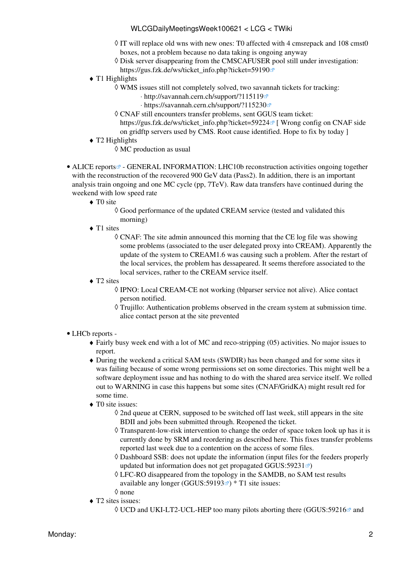- ◊ IT will replace old wns with new ones: T0 affected with 4 cmsrepack and 108 cmst0 boxes, not a problem because no data taking is ongoing anyway
- Disk server disappearing from the CMSCAFUSER pool still under investigation: ◊
- [https://gus.fzk.de/ws/ticket\\_info.php?ticket=59190](https://gus.fzk.de/ws/ticket_info.php?ticket=59190)<sup>®</sup>
- $\triangleleft$  T1 Highlights
	- WMS issues still not completely solved, two savannah tickets for tracking: ◊
		- ⋅ <http://savannah.cern.ch/support/?115119>
		- ⋅ <https://savannah.cern.ch/support/?115230>
	- CNAF still encounters transfer problems, sent GGUS team ticket: ◊ https://gus.fzk.de/ws/ticket info.php?ticket=59224<sup>®</sup> [ Wrong config on CNAF side on gridftp servers used by CMS. Root cause identified. Hope to fix by today ]
- T2 Highlights ♦
	- $\Diamond$  MC production as usual
- ALICE [reports](http://alien2.cern.ch/index.php?option=com_content&view=article&id=75&Itemid=129)<sup>®</sup> GENERAL INFORMATION: LHC10b reconstruction activities ongoing together with the reconstruction of the recovered 900 [GeV](https://twiki.cern.ch/twiki/bin/edit/LCG/GeV?topicparent=LCG.WLCGDailyMeetingsWeek100621;nowysiwyg=1) data (Pass2). In addition, there is an important analysis train ongoing and one MC cycle (pp, 7TeV). Raw data transfers have continued during the weekend with low speed rate
	- ◆ TO site
		- Good performance of the updated [CREAM](https://twiki.cern.ch/twiki/bin/view/LCG/CREAM) service (tested and validated this ◊ morning)
	- T1 sites
		- CNAF: The site admin announced this morning that the CE log file was showing ◊ some problems (associated to the user delegated proxy into [CREAM](https://twiki.cern.ch/twiki/bin/view/LCG/CREAM)). Apparently the update of the system to CREAM1.6 was causing such a problem. After the restart of the local services, the problem has dessapeared. It seems therefore associated to the local services, rather to the [CREAM](https://twiki.cern.ch/twiki/bin/view/LCG/CREAM) service itself.
	- ◆ T2 sites
		- ◊ IPNO: Local [CREAM](https://twiki.cern.ch/twiki/bin/view/LCG/CREAM)-CE not working (blparser service not alive). Alice contact person notified.
		- Trujillo: Authentication problems observed in the cream system at submission time. ◊ alice contact person at the site prevented
- LHCb [reports](https://twiki.cern.ch/twiki/bin/view/LHCb/ProductionOperationsWLCGdailyReports) -
	- Fairly busy week end with a lot of MC and reco-stripping (05) activities. No major issues to ♦ report.
	- During the weekend a critical SAM tests (SWDIR) has been changed and for some sites it ♦ was failing because of some wrong permissions set on some directories. This might well be a software deployment issue and has nothing to do with the shared area service itself. We rolled out to WARNING in case this happens but some sites (CNAF/GridKA) might result red for some time.
	- ◆ T0 site issues:
		- ◊ 2nd queue at CERN, supposed to be switched off last week, still appears in the site BDII and jobs been submitted through. Reopened the ticket.
		- Transparent-low-risk intervention to change the order of space token look up has it is ◊ currently done by SRM and reordering as described here. This fixes transfer problems reported last week due to a contention on the access of some files.
		- Dashboard SSB: does not update the information (input files for the feeders properly ◊ updated but information does not get propagated [GGUS:59231](https://ggus.eu/ws/ticket_info.php?ticket=59231) $\blacktriangleright$
		- LFC-RO disappeared from the topology in the SAMDB, no SAM test results ◊ available any longer ([GGUS:59193](https://ggus.eu/ws/ticket_info.php?ticket=59193) $\blacktriangledown$ ) \* T1 site issues:
		- ◊ none
	- T2 sites issues: ♦
		- ◊ UCD and UKI-LT2-UCL-HEP too many pilots aborting there ([GGUS:59216](https://ggus.eu/ws/ticket_info.php?ticket=59216) and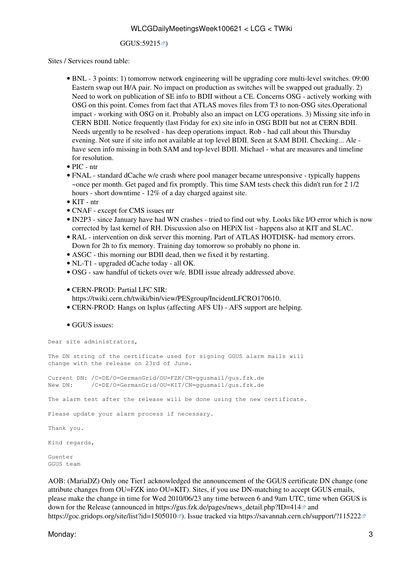#### [GGUS:59215](https://ggus.eu/ws/ticket_info.php?ticket=59215)<sup>2</sup>)

Sites / Services round table:

- BNL 3 points: 1) tomorrow network engineering will be upgrading core multi-level switches. 09:00 Eastern swap out H/A pair. No impact on production as switches will be swapped out gradually. 2) Need to work on publication of SE info to BDII without a CE. Concerns OSG - actively working with OSG on this point. Comes from fact that ATLAS moves files from T3 to non-OSG sites.Operational impact - working with OSG on it. Probably also an impact on LCG operations. 3) Missing site info in CERN BDII. Notice frequently (last Friday for ex) site info in OSG BDII but not at CERN BDII. Needs urgently to be resolved - has deep operations impact. Rob - had call about this Thursday evening. Not sure if site info not available at top level BDII. Seen at SAM BDII. Checking... Ale have seen info missing in both SAM and top-level BDII. Michael - what are measures and timeline for resolution.
- PIC ntr
- FNAL standard dCache w/e crash where pool manager became unresponsive typically happens ~once per month. Get paged and fix promptly. This time SAM tests check this didn't run for 2 1/2 hours - short downtime - 12% of a day charged against site.
- KIT ntr
- CNAF except for CMS issues ntr
- [IN2P3](https://twiki.cern.ch/twiki/bin/view/LCG/IN2P3)  since January have had WN crashes tried to find out why. Looks like I/O error which is now corrected by last kernel of RH. Discussion also on [HEPiX](https://twiki.cern.ch/twiki/bin/view/LCG/HEPiX) list - happens also at KIT and SLAC.
- [RAL](https://twiki.cern.ch/twiki/bin/view/LCG/RAL) intervention on disk server this morning. Part of ATLAS HOTDISK- had memory errors. Down for 2h to fix memory. Training day tomorrow so probably no phone in.
- ASGC this morning our BDII dead, then we fixed it by restarting.
- NL-T1 upgraded dCache today all OK.
- OSG saw handful of tickets over w/e. BDII issue already addressed above.
- CERN-PROD: Partial LFC SIR: •

<https://twiki.cern.ch/twiki/bin/view/PESgroup/IncidentLFCRO170610>.

- CERN-PROD: Hangs on lxplus (affecting AFS UI) AFS support are helping.
- GGUS issues:

Dear site administrators,

The DN string of the certificate used for signing GGUS alarm mails will change with the release on 23rd of June. Current DN: /C=DE/O=GermanGrid/OU=FZK/CN=ggusmail/gus.fzk.de

New DN: /C=DE/O=GermanGrid/OU=KIT/CN=ggusmail/gus.fzk.de

The alarm test after the release will be done using the new certificate.

Please update your alarm process if necessary.

Thank you.

Kind regards,

Guenter GGUS team

AOB: ([MariaDZ\)](https://twiki.cern.ch/twiki/bin/edit/LCG/MariaDZ?topicparent=LCG.WLCGDailyMeetingsWeek100621;nowysiwyg=1) Only one Tier1 acknowledged the announcement of the GGUS certificate DN change (one attribute changes from OU=FZK into OU=KIT). Sites, if you use DN-matching to accept GGUS emails, please make the change in time for Wed 2010/06/23 any time between 6 and 9am UTC, time when GGUS is down for the Release (announced in https://gus.fzk.de/pages/news\_detail.php?ID=414<sup> $\alpha$ </sup> and <https://goc.gridops.org/site/list?id=1505010> <sup>a</sup>). Issue tracked via <https://savannah.cern.ch/support/?115222> <sup>a</sup>

Monday: 3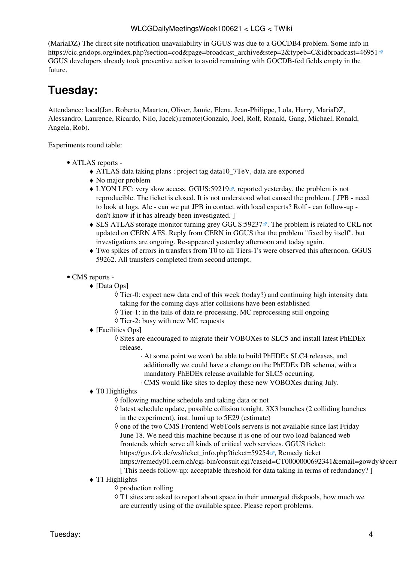([MariaDZ\)](https://twiki.cern.ch/twiki/bin/edit/LCG/MariaDZ?topicparent=LCG.WLCGDailyMeetingsWeek100621;nowysiwyg=1) The direct site notification unavailability in GGUS was due to a GOCDB4 problem. Some info in [https://cic.gridops.org/index.php?section=cod&page=broadcast\\_archive&step=2&typeb=C&idbroadcast=46951](https://cic.gridops.org/index.php?section=cod&page=broadcast_archive&step=2&typeb=C&idbroadcast=46951) GGUS developers already took preventive action to avoid remaining with GOCDB-fed fields empty in the future.

## <span id="page-4-0"></span>**Tuesday:**

Attendance: local(Jan, Roberto, Maarten, Oliver, Jamie, Elena, Jean-Philippe, Lola, Harry, [MariaDZ,](https://twiki.cern.ch/twiki/bin/edit/LCG/MariaDZ?topicparent=LCG.WLCGDailyMeetingsWeek100621;nowysiwyg=1) Alessandro, Laurence, Ricardo, Nilo, Jacek);remote(Gonzalo, Joel, Rolf, Ronald, Gang, Michael, Ronald, Angela, Rob).

- ATLAS [reports](https://twiki.cern.ch/twiki/bin/view/Atlas/ADCOperationsDailyReports)  •
	- ♦ ATLAS data taking plans : project tag data10\_7TeV, data are exported
	- ♦ No major problem
	- $\blacklozenge$  LYON LFC: very slow access. [GGUS:59219](https://ggus.eu/ws/ticket_info.php?ticket=59219)<sup> $\blacktriangledown$ </sup>, reported yesterday, the problem is not reproducible. The ticket is closed. It is not understood what caused the problem. [ JPB - need to look at logs. Ale - can we put JPB in contact with local experts? Rolf - can follow-up don't know if it has already been investigated. ]
	- ◆ SLS ATLAS storage monitor turning grey [GGUS:59237](https://ggus.eu/ws/ticket_info.php?ticket=59237) <sup>®</sup>. The problem is related to CRL not updated on CERN AFS. Reply from CERN in GGUS that the problem "fixed by itself", but investigations are ongoing. Re-appeared yesterday afternoon and today again.
	- Two spikes of errors in transfers from T0 to all Tiers-1's were observed this afternoon. GGUS ♦ 59262. All transfers completed from second attempt.
- CMS [reports](https://twiki.cern.ch/twiki/bin/view/CMS/FacOps_WLCGdailyreports) -
	- [Data Ops] ♦
		- Tier-0: expect new data end of this week (today?) and continuing high intensity data ◊ taking for the coming days after collisions have been established
		- ◊ Tier-1: in the tails of data re-processing, MC reprocessing still ongoing
		- ◊ Tier-2: busy with new MC requests
	- [Facilities Ops] ♦
		- Sites are encouraged to migrate their VOBOXes to SLC5 and install latest [PhEDEx](https://twiki.cern.ch/twiki/bin/view/LCG/PhEDEx) ◊ release.
			- At some point we won't be able to build [PhEDEx](https://twiki.cern.ch/twiki/bin/view/LCG/PhEDEx) SLC4 releases, and ⋅ additionally we could have a change on the [PhEDEx](https://twiki.cern.ch/twiki/bin/view/LCG/PhEDEx) DB schema, with a mandatory [PhEDEx](https://twiki.cern.ch/twiki/bin/view/LCG/PhEDEx) release available for SLC5 occurring.
			- ⋅ CMS would like sites to deploy these new VOBOXes during July.
	- ◆ T0 Highlights
		- ◊ following machine schedule and taking data or not
		- latest schedule update, possible collision tonight, 3X3 bunches (2 colliding bunches ◊ in the experiment), inst. lumi up to 5E29 (estimate)
		- ◊ one of the two CMS Frontend [WebTools](https://twiki.cern.ch/twiki/bin/edit/LCG/WebTools?topicparent=LCG.WLCGDailyMeetingsWeek100621;nowysiwyg=1) servers is not available since last Friday June 18. We need this machine because it is one of our two load balanced web frontends which serve all kinds of critical web services. GGUS ticket: https://gus.fzk.de/ws/ticket info.php?ticket=59254<sup> $\alpha$ </sup>, Remedy ticket https://remedy01.cern.ch/cgi-bin/consult.cgi?caseid=CT0000000692341&email=gowdy@cern
			- [ This needs follow-up: acceptable threshold for data taking in terms of redundancy? ]
	- $\triangleleft$  T1 Highlights
		- ◊ production rolling
		- T1 sites are asked to report about space in their unmerged diskpools, how much we ◊ are currently using of the available space. Please report problems.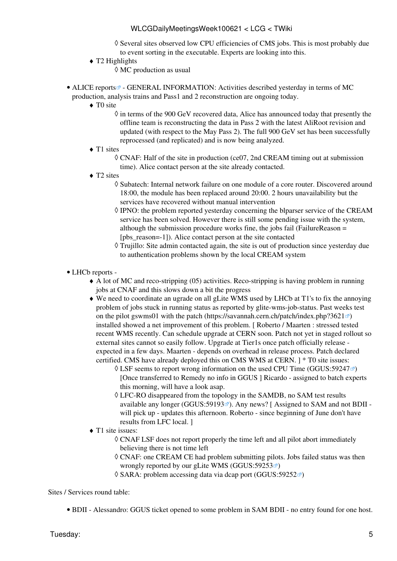- ◊ Several sites observed low CPU efficiencies of CMS jobs. This is most probably due to event sorting in the executable. Experts are looking into this.
- T2 Highlights ♦
	- $\Diamond$  MC production as usual
- ALICE [reports](http://alien2.cern.ch/index.php?option=com_content&view=article&id=75&Itemid=129)<sup>®</sup> GENERAL INFORMATION: Activities described yesterday in terms of MC production, analysis trains and Pass1 and 2 reconstruction are ongoing today.
	- ◆ TO site
		- $\Diamond$  in terms of the 900 [GeV](https://twiki.cern.ch/twiki/bin/edit/LCG/GeV?topicparent=LCG.WLCGDailyMeetingsWeek100621;nowysiwyg=1) recovered data, Alice has announced today that presently the offline team is reconstructing the data in Pass 2 with the latest [AliRoot](https://twiki.cern.ch/twiki/bin/edit/LCG/AliRoot?topicparent=LCG.WLCGDailyMeetingsWeek100621;nowysiwyg=1) revision and updated (with respect to the May Pass 2). The full 900 [GeV](https://twiki.cern.ch/twiki/bin/edit/LCG/GeV?topicparent=LCG.WLCGDailyMeetingsWeek100621;nowysiwyg=1) set has been successfully reprocessed (and replicated) and is now being analyzed.
	- ◆ T1 sites

CNAF: Half of the site in production (ce07, 2nd [CREAM](https://twiki.cern.ch/twiki/bin/view/LCG/CREAM) timing out at submission ◊ time). Alice contact person at the site already contacted.

- ◆ T2 sites
	- ◊ Subatech: Internal network failure on one module of a core router. Discovered around 18:00, the module has been replaced around 20:00. 2 hours unavailability but the services have recovered without manual intervention
	- IPNO: the problem reported yesterday concerning the blparser service of the [CREAM](https://twiki.cern.ch/twiki/bin/view/LCG/CREAM) ◊ service has been solved. However there is still some pending issue with the system, although the submission procedure works fine, the jobs fail [\(FailureReason](https://twiki.cern.ch/twiki/bin/edit/LCG/FailureReason?topicparent=LCG.WLCGDailyMeetingsWeek100621;nowysiwyg=1) = [pbs\_reason=-1]). Alice contact person at the site contacted
	- Trujillo: Site admin contacted again, the site is out of production since yesterday due ◊ to authentication problems shown by the local [CREAM](https://twiki.cern.ch/twiki/bin/view/LCG/CREAM) system
- LHCb [reports](https://twiki.cern.ch/twiki/bin/view/LHCb/ProductionOperationsWLCGdailyReports) -
	- A lot of MC and reco-stripping (05) activities. Reco-stripping is having problem in running ♦ jobs at CNAF and this slows down a bit the progress
	- We need to coordinate an ugrade on all gLite WMS used by LHCb at T1's to fix the annoying ♦ problem of jobs stuck in running status as reported by glite-wms-job-status. Past weeks test on the pilot gswms01 with the patch (<https://savannah.cern.ch/patch/index.php?3621> $\vec{v}$ ) installed showed a net improvement of this problem. [ Roberto / Maarten : stressed tested recent WMS recently. Can schedule upgrade at CERN soon. Patch not yet in staged rollout so external sites cannot so easily follow. Upgrade at Tier1s once patch officially release expected in a few days. Maarten - depends on overhead in release process. Patch declared certified. CMS have already deployed this on CMS WMS at CERN. ] \* T0 site issues:
		- $\Diamond$  [LSF](https://twiki.cern.ch/twiki/bin/view/LCG/LSF) seems to report wrong information on the used CPU Time ([GGUS:59247](https://ggus.eu/ws/ticket_info.php?ticket=59247) $\degree$ ) [Once transferred to Remedy no info in GGUS ] Ricardo - assigned to batch experts this morning, will have a look asap.
		- LFC-RO disappeared from the topology in the SAMDB, no SAM test results ◊ available any longer ([GGUS:59193](https://ggus.eu/ws/ticket_info.php?ticket=59193) $\textdegree$ ). Any news? [Assigned to SAM and not BDII will pick up - updates this afternoon. Roberto - since beginning of June don't have results from LFC local. ]
	- ◆ T1 site issues:
		- CNAF [LSF](https://twiki.cern.ch/twiki/bin/view/LCG/LSF) does not report properly the time left and all pilot abort immediately ◊ believing there is not time left
		- CNAF: one [CREAM](https://twiki.cern.ch/twiki/bin/view/LCG/CREAM) CE had problem submitting pilots. Jobs failed status was then ◊ wrongly reported by our gLite WMS ([GGUS:59253](https://ggus.eu/ws/ticket_info.php?ticket=59253) $\blacktriangledown$ )
		- $\Diamond$  SARA: problem accessing data via dcap port [\(GGUS:59252](https://ggus.eu/ws/ticket_info.php?ticket=59252) $\circ$ )

Sites / Services round table:

• BDII - Alessandro: GGUS ticket opened to some problem in SAM BDII - no entry found for one host.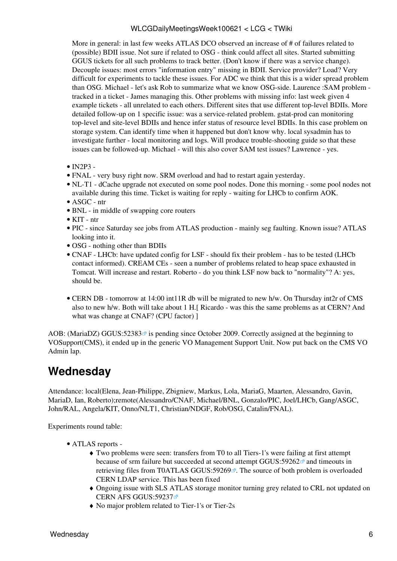More in general: in last few weeks ATLAS DCO observed an increase of # of failures related to (possible) BDII issue. Not sure if related to OSG - think could affect all sites. Started submitting GGUS tickets for all such problems to track better. (Don't know if there was a service change). Decouple issues: most errors "information entry" missing in BDII. Service provider? Load? Very difficult for experiments to tackle these issues. For ADC we think that this is a wider spread problem than OSG. Michael - let's ask Rob to summarize what we know OSG-side. Laurence :SAM problem tracked in a ticket - James managing this. Other problems with missing info: last week given 4 example tickets - all unrelated to each others. Different sites that use different top-level BDIIs. More detailed follow-up on 1 specific issue: was a service-related problem. gstat-prod can monitoring top-level and site-level BDIIs and hence infer status of resource level BDIIs. In this case problem on storage system. Can identify time when it happened but don't know why. local sysadmin has to investigate further - local monitoring and logs. Will produce trouble-shooting guide so that these issues can be followed-up. Michael - will this also cover SAM test issues? Lawrence - yes.

- $\bullet$  [IN2P3](https://twiki.cern.ch/twiki/bin/view/LCG/IN2P3) -
- FNAL very busy right now. SRM overload and had to restart again yesterday.
- NL-T1 dCache upgrade not executed on some pool nodes. Done this morning some pool nodes not available during this time. Ticket is waiting for reply - waiting for LHCb to confirm AOK.
- ASGC ntr
- BNL in middle of swapping core routers
- KIT ntr
- PIC since Saturday see jobs from ATLAS production mainly seg faulting. Known issue? ATLAS looking into it.
- OSG nothing other than BDIIs
- CNAF LHCb: have updated config for [LSF](https://twiki.cern.ch/twiki/bin/view/LCG/LSF) should fix their problem has to be tested (LHCb contact informed). [CREAM](https://twiki.cern.ch/twiki/bin/view/LCG/CREAM) CEs - seen a number of problems related to heap space exhausted in Tomcat. Will increase and restart. Roberto - do you think [LSF](https://twiki.cern.ch/twiki/bin/view/LCG/LSF) now back to "normality"? A: yes, should be.
- CERN DB tomorrow at 14:00 int11R db will be migrated to new h/w. On Thursday int2r of CMS also to new h/w. Both will take about 1 H.[ Ricardo - was this the same problems as at CERN? And what was change at CNAF? (CPU factor) ]

AOB: ([MariaDZ\)](https://twiki.cern.ch/twiki/bin/edit/LCG/MariaDZ?topicparent=LCG.WLCGDailyMeetingsWeek100621;nowysiwyg=1) GGUS:52383 $\Phi$  is pending since October 2009. Correctly assigned at the beginning to VOSupport(CMS), it ended up in the generic VO Management Support Unit. Now put back on the CMS VO Admin lap.

### <span id="page-6-0"></span>**Wednesday**

Attendance: local(Elena, Jean-Philippe, Zbigniew, Markus, Lola, [MariaG,](https://twiki.cern.ch/twiki/bin/edit/LCG/MariaG?topicparent=LCG.WLCGDailyMeetingsWeek100621;nowysiwyg=1) Maarten, Alessandro, Gavin, [MariaD](https://twiki.cern.ch/twiki/bin/edit/LCG/MariaD?topicparent=LCG.WLCGDailyMeetingsWeek100621;nowysiwyg=1), Ian, Roberto);remote(Alessandro/CNAF, Michael/BNL, Gonzalo/PIC, Joel/LHCb, Gang/ASGC, John/RAL, Angela/KIT, Onno/NLT1, Christian/NDGF, Rob/OSG, Catalin/FNAL).

- ATLAS [reports](https://twiki.cern.ch/twiki/bin/view/Atlas/ADCOperationsDailyReports)  •
	- Two problems were seen: transfers from T0 to all Tiers-1's were failing at first attempt ♦ because of srm failure but succeeded at second attempt [GGUS:59262](https://ggus.eu/ws/ticket_info.php?ticket=59262)<sup>®</sup> and timeouts in retrieving files from [T0ATLAS](https://twiki.cern.ch/twiki/bin/edit/LCG/T0ATLAS?topicparent=LCG.WLCGDailyMeetingsWeek100621;nowysiwyg=1) [GGUS:59269](https://ggus.eu/ws/ticket_info.php?ticket=59269) $\mathcal{P}$ . The source of both problem is overloaded CERN LDAP service. This has been fixed
	- Ongoing issue with SLS ATLAS storage monitor turning grey related to CRL not updated on ♦ CERN AFS [GGUS:59237](https://ggus.eu/ws/ticket_info.php?ticket=59237) ®
	- ♦ No major problem related to Tier-1's or Tier-2s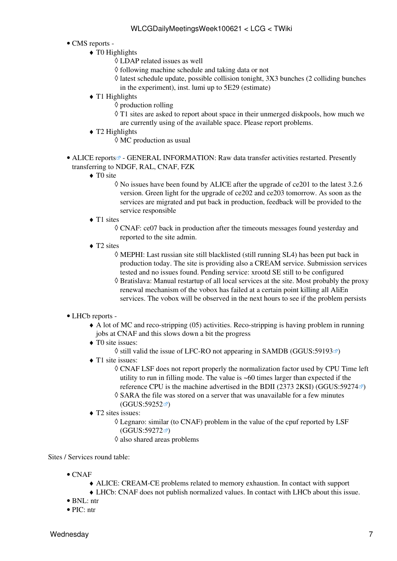### • CMS [reports](https://twiki.cern.ch/twiki/bin/view/CMS/FacOps_WLCGdailyreports) -

- $\triangleleft$  T0 Highlights
	- ◊ LDAP related issues as well
	- ◊ following machine schedule and taking data or not
	- latest schedule update, possible collision tonight, 3X3 bunches (2 colliding bunches ◊ in the experiment), inst. lumi up to 5E29 (estimate)
- $\triangleleft$  T1 Highlights
	- ◊ production rolling
	- T1 sites are asked to report about space in their unmerged diskpools, how much we ◊ are currently using of the available space. Please report problems.
- T2 Highlights ♦
	- ◊ MC production as usual
- ALICE [reports](http://alien2.cern.ch/index.php?option=com_content&view=article&id=75&Itemid=129)<sup>®</sup> GENERAL INFORMATION: Raw data transfer activities restarted. Presently transferring to NDGF, [RAL,](https://twiki.cern.ch/twiki/bin/view/LCG/RAL) CNAF, FZK
	- ◆ TO site
		- No issues have been found by ALICE after the upgrade of ce201 to the latest 3.2.6 ◊ version. Green light for the upgrade of ce202 and ce203 tomorrow. As soon as the services are migrated and put back in production, feedback will be provided to the service responsible
	- ◆ T1 sites
		- CNAF: ce07 back in production after the timeouts messages found yesterday and ◊ reported to the site admin.
	- ◆ T2 sites
		- MEPHI: Last russian site still blacklisted (still running SL4) has been put back in ◊ production today. The site is providing also a [CREAM](https://twiki.cern.ch/twiki/bin/view/LCG/CREAM) service. Submission services tested and no issues found. Pending service: xrootd SE still to be configured
		- Bratislava: Manual restartup of all local services at the site. Most probably the proxy ◊ renewal mechanism of the vobox has failed at a certain point killing all [AliEn](https://twiki.cern.ch/twiki/bin/edit/LCG/AliEn?topicparent=LCG.WLCGDailyMeetingsWeek100621;nowysiwyg=1) services. The vobox will be observed in the next hours to see if the problem persists

### • LHCb [reports](https://twiki.cern.ch/twiki/bin/view/LHCb/ProductionOperationsWLCGdailyReports) -

- A lot of MC and reco-stripping (05) activities. Reco-stripping is having problem in running ♦ jobs at CNAF and this slows down a bit the progress
- ◆ T0 site issues:
	- $\Diamond$  still valid the issue of LFC-RO not appearing in SAMDB [\(GGUS:59193](https://ggus.eu/ws/ticket_info.php?ticket=59193) $\circ$ )
- ◆ T1 site issues:
	- CNAF [LSF](https://twiki.cern.ch/twiki/bin/view/LCG/LSF) does not report properly the normalization factor used by CPU Time left ◊ utility to run in filling mode. The value is ~60 times larger than expected if the reference CPU is the machine advertised in the BDII (2373 2KSI) ([GGUS:59274](https://ggus.eu/ws/ticket_info.php?ticket=59274) $\textdegree$ )
	- SARA the file was stored on a server that was unavailable for a few minutes ◊  $(GGUS:59252 \n\mathbb{Z})$  $(GGUS:59252 \n\mathbb{Z})$  $(GGUS:59252 \n\mathbb{Z})$
- T2 sites issues: ♦
	- Legnaro: similar (to CNAF) problem in the value of the cpuf reported by [LSF](https://twiki.cern.ch/twiki/bin/view/LCG/LSF) ◊ ([GGUS:59272](https://ggus.eu/ws/ticket_info.php?ticket=59272)<sup>a</sup>)
	- ◊ also shared areas problems

Sites / Services round table:

- $\bullet$  CNAF
	- ♦ ALICE: [CREAM](https://twiki.cern.ch/twiki/bin/view/LCG/CREAM)-CE problems related to memory exhaustion. In contact with support
	- ♦ LHCb: CNAF does not publish normalized values. In contact with LHCb about this issue.
- BNL: ntr
- PIC: ntr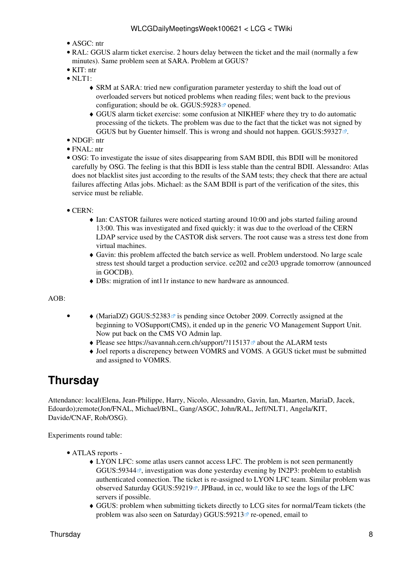- ASGC: ntr
- [RAL](https://twiki.cern.ch/twiki/bin/view/LCG/RAL): GGUS alarm ticket exercise. 2 hours delay between the ticket and the mail (normally a few minutes). Same problem seen at SARA. Problem at GGUS?
- KIT: ntr
- $\bullet$  NLT1:
	- SRM at SARA: tried new configuration parameter yesterday to shift the load out of ♦ overloaded servers but noticed problems when reading files; went back to the previous configuration; should be ok. GGUS:59283 $\sigma$  opened.
	- GGUS alarm ticket exercise: some confusion at NIKHEF where they try to do automatic ♦ processing of the tickets. The problem was due to the fact that the ticket was not signed by GGUS but by Guenter himself. This is wrong and should not happen. [GGUS:59327](https://ggus.eu/ws/ticket_info.php?ticket=59327)
- NDGF: ntr
- FNAL: ntr
- OSG: To investigate the issue of sites disappearing from SAM BDII, this BDII will be monitored carefully by OSG. The feeling is that this BDII is less stable than the central BDII. Alessandro: Atlas does not blacklist sites just according to the results of the SAM tests; they check that there are actual failures affecting Atlas jobs. Michael: as the SAM BDII is part of the verification of the sites, this service must be reliable.
- CERN:
	- Ian: CASTOR failures were noticed starting around 10:00 and jobs started failing around ♦ 13:00. This was investigated and fixed quickly: it was due to the overload of the CERN LDAP service used by the CASTOR disk servers. The root cause was a stress test done from virtual machines.
	- Gavin: this problem affected the batch service as well. Problem understood. No large scale ♦ stress test should target a production service. ce202 and ce203 upgrade tomorrow (announced in GOCDB).
	- ♦ DBs: migration of int11r instance to new hardware as announced.

AOB:

•

- $\blacklozenge$  ([MariaDZ\)](https://twiki.cern.ch/twiki/bin/edit/LCG/MariaDZ?topicparent=LCG.WLCGDailyMeetingsWeek100621;nowysiwyg=1) GGUS:52383<sup> $\alpha$ </sup> is pending since October 2009. Correctly assigned at the beginning to VOSupport(CMS), it ended up in the generic VO Management Support Unit. Now put back on the CMS VO Admin lap.
	- $\blacklozenge$  Please see <https://savannah.cern.ch/support/?115137> $\blacktriangledown$  about the ALARM tests
	- Joel reports a discrepency between VOMRS and [VOMS](https://twiki.cern.ch/twiki/bin/view/LCG/VOMS). A GGUS ticket must be submitted ♦ and assigned to VOMRS.

### <span id="page-8-0"></span>**Thursday**

Attendance: local(Elena, Jean-Philippe, Harry, Nicolo, Alessandro, Gavin, Ian, Maarten, [MariaD,](https://twiki.cern.ch/twiki/bin/edit/LCG/MariaD?topicparent=LCG.WLCGDailyMeetingsWeek100621;nowysiwyg=1) Jacek, Edoardo);remote(Jon/FNAL, Michael/BNL, Gang/ASGC, John/RAL, Jeff/NLT1, Angela/KIT, Davide/CNAF, Rob/OSG).

- ATLAS [reports](https://twiki.cern.ch/twiki/bin/view/Atlas/ADCOperationsDailyReports)  •
	- LYON LFC: some atlas users cannot access LFC. The problem is not seen permanently ♦ [GGUS:59344](https://ggus.eu/ws/ticket_info.php?ticket=59344) $\mathbb{Z}$ , investigation was done yesterday evening by [IN2P3:](https://twiki.cern.ch/twiki/bin/view/LCG/IN2P3) problem to establish authenticated connection. The ticket is re-assigned to LYON LFC team. Similar problem was observed Saturday [GGUS:59219](https://ggus.eu/ws/ticket_info.php?ticket=59219) $\mathcal{P}$ . JPBaud, in cc, would like to see the logs of the LFC servers if possible.
	- GGUS: problem when submitting tickets directly to LCG sites for normal/Team tickets (the ♦ problem was also seen on Saturday) [GGUS:59213](https://ggus.eu/ws/ticket_info.php?ticket=59213) $\mathbb{F}$  re-opened, email to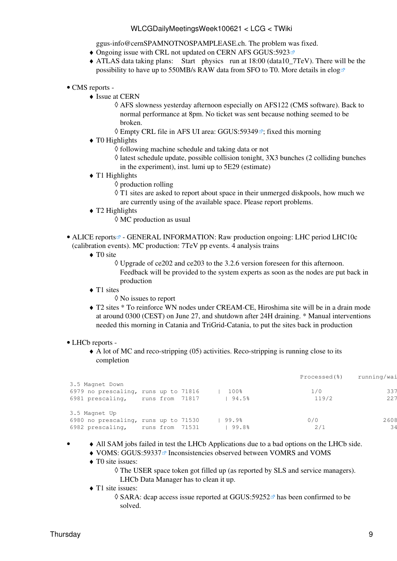[ggus-info@cernSPAMNOTNOSPAMPLEASE.ch](mailto:ggus-info@cernSPAMNOTNOSPAMPLEASE.ch). The problem was fixed.

- $\bullet$  Ongoing issue with CRL not updated on CERN AFS [GGUS:5923](https://ggus.eu/ws/ticket_info.php?ticket=5923)
- ATLAS data taking plans: Start physics run at 18:00 (data10\_7TeV). There will be the ♦ possibility to have up to 550MB/s RAW data from SFO to T0. More details in [elog](https://prod-grid-logger.cern.ch/elog/ATLAS+Computer+Operations+Logbook/13977)
- CMS [reports](https://twiki.cern.ch/twiki/bin/view/CMS/FacOps_WLCGdailyreports) -
	- $\triangleleft$  Issue at CERN
		- AFS slowness yesterday afternoon especially on AFS122 (CMS software). Back to ◊ normal performance at 8pm. No ticket was sent because nothing seemed to be broken.
		- $\Diamond$  Empty CRL file in AFS UI area: [GGUS:59349](https://ggus.eu/ws/ticket_info.php?ticket=59349) $\mathbb{F}$ ; fixed this morning
	- $\triangleleft$  T0 Highlights
		- ◊ following machine schedule and taking data or not
		- latest schedule update, possible collision tonight, 3X3 bunches (2 colliding bunches ◊ in the experiment), inst. lumi up to 5E29 (estimate)
	- $\blacklozenge$  T1 Highlights
		- ◊ production rolling
			- ◊ T1 sites are asked to report about space in their unmerged diskpools, how much we are currently using of the available space. Please report problems.
	- T2 Highlights ♦
		- ◊ MC production as usual
- ALICE [reports](http://alien2.cern.ch/index.php?option=com_content&view=article&id=75&Itemid=129)<sup>®</sup> GENERAL INFORMATION: Raw production ongoing: LHC period LHC10c (calibration events). MC production: 7TeV pp events. 4 analysis trains
	- ◆ TO site

Upgrade of ce202 and ce203 to the 3.2.6 version foreseen for this afternoon. ◊ Feedback will be provided to the system experts as soon as the nodes are put back in production

- ◆ T1 sites
	- ◊ No issues to report
- T2 sites \* To reinforce WN nodes under [CREAM](https://twiki.cern.ch/twiki/bin/view/LCG/CREAM)-CE, Hiroshima site will be in a drain mode ♦ at around 0300 (CEST) on June 27, and shutdown after 24H draining. \* Manual interventions needed this morning in Catania and [TriGrid](https://twiki.cern.ch/twiki/bin/edit/LCG/TriGrid?topicparent=LCG.WLCGDailyMeetingsWeek100621;nowysiwyg=1)-Catania, to put the sites back in production

### • LHCb [reports](https://twiki.cern.ch/twiki/bin/view/LHCb/ProductionOperationsWLCGdailyReports) -

A lot of MC and reco-stripping (05) activities. Reco-stripping is running close to its ♦ completion

|                                      |           |       |       | Processed(%) | running/wai |
|--------------------------------------|-----------|-------|-------|--------------|-------------|
| 3.5 Magnet Down                      |           |       |       |              |             |
| 6979 no prescaling, runs up to 71816 |           |       | 100%  | 1/0          | 337         |
| 6981 prescaling,                     | runs from | 71817 | 94.5% | 119/2        | 2.2.7       |
| 3.5 Magnet Up                        |           |       |       |              |             |
| 6980 no prescaling, runs up to 71530 |           |       | 99.9% | 0/0          | 2608        |
| 6982 prescaling,                     | runs from | 71531 | 99.8% | 2/1          | 34          |
|                                      |           |       |       |              |             |

- ♦ All SAM jobs failed in test the LHCb Applications due to a bad options on the LHCb side. •
	- $\triangle$  [VOMS:](https://twiki.cern.ch/twiki/bin/view/LCG/VOMS) [GGUS:59337](https://ggus.eu/ws/ticket_info.php?ticket=59337)<sup>®</sup> Inconsistencies observed between VOMRS and [VOMS](https://twiki.cern.ch/twiki/bin/view/LCG/VOMS)
	- ◆ T0 site issues:
		- The USER space token got filled up (as reported by SLS and service managers). ◊ LHCb Data Manager has to clean it up.
	- ◆ T1 site issues:
		- ◊ SARA: dcap access issue reported at [GGUS:59252](https://ggus.eu/ws/ticket_info.php?ticket=59252) has been confirmed to be solved.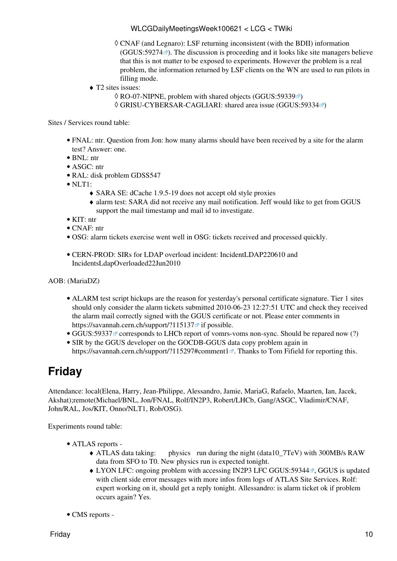- CNAF (and Legnaro): [LSF](https://twiki.cern.ch/twiki/bin/view/LCG/LSF) returning inconsistent (with the BDII) information ◊  $(GGUS:59274 \text{ m})$  $(GGUS:59274 \text{ m})$  $(GGUS:59274 \text{ m})$ . The discussion is proceeding and it looks like site managers believe that this is not matter to be exposed to experiments. However the problem is a real problem, the information returned by [LSF](https://twiki.cern.ch/twiki/bin/view/LCG/LSF) clients on the WN are used to run pilots in filling mode.
- T2 sites issues: ♦
	- $\Diamond$  RO-07-NIPNE, problem with shared objects [\(GGUS:59339](https://ggus.eu/ws/ticket_info.php?ticket=59339) $\circ$ )
	- ◊ GRISU-CYBERSAR-CAGLIARI: shared area issue ([GGUS:59334](https://ggus.eu/ws/ticket_info.php?ticket=59334) )

Sites / Services round table:

- FNAL: ntr. Question from Jon: how many alarms should have been received by a site for the alarm test? Answer: one.
- BNL: ntr
- ASGC: ntr
- [RAL:](https://twiki.cern.ch/twiki/bin/view/LCG/RAL) disk problem GDSS547
- $\bullet$  NLT1:
	- ♦ SARA SE: dCache 1.9.5-19 does not accept old style proxies
	- alarm test: SARA did not receive any mail notification. Jeff would like to get from GGUS ♦ support the mail timestamp and mail id to investigate.
- KIT: ntr
- CNAF: ntr
- OSG: alarm tickets exercise went well in OSG: tickets received and processed quickly.
- CERN-PROD: SIRs for LDAP overload incident: [IncidentLDAP220610](https://twiki.cern.ch/twiki/bin/view/PESgroup/IncidentLDAP220610) and [IncidentsLdapOverloaded22Jun2010](https://twiki.cern.ch/twiki/bin/view/CASTORService/IncidentsLdapOverloaded22Jun2010)

AOB: ([MariaDZ\)](https://twiki.cern.ch/twiki/bin/edit/LCG/MariaDZ?topicparent=LCG.WLCGDailyMeetingsWeek100621;nowysiwyg=1)

- ALARM test script hickups are the reason for yesterday's personal certificate signature. Tier 1 sites should only consider the alarm tickets submitted 2010-06-23 12:27:51 UTC and check they received the alarm mail correctly signed with the GGUS certificate or not. Please enter comments in https://savannah.cern.ch/support/?115137<sup>a</sup> if possible.
- GGUS:59337<sup> $\alpha$ </sup> corresponds to LHCb report of vomrs-voms non-sync. Should be repared now (?)
- SIR by the GGUS developer on the GOCDB-GGUS data copy problem again in <https://savannah.cern.ch/support/?115297#comment1> $\infty$ . Thanks to Tom Fifield for reporting this.

## <span id="page-10-0"></span>**Friday**

Attendance: local(Elena, Harry, Jean-Philippe, Alessandro, Jamie, [MariaG](https://twiki.cern.ch/twiki/bin/edit/LCG/MariaG?topicparent=LCG.WLCGDailyMeetingsWeek100621;nowysiwyg=1), Rafaelo, Maarten, Ian, Jacek, Akshat);remote(Michael/BNL, Jon/FNAL, Rolf/IN2P3, Robert/LHCb, Gang/ASGC, Vladimir/CNAF, John/RAL, Jos/KIT, Onno/NLT1, Rob/OSG).

- ATLAS [reports](https://twiki.cern.ch/twiki/bin/view/Atlas/ADCOperationsDailyReports)  •
	- physics run during the night (data10  $7 \text{TeV}$ ) with 300MB/s RAW data from SFO to T0. New physics run is expected tonight. ◆ ATLAS data taking:
	- $\blacklozenge$  LYON LFC: ongoing problem with accessing [IN2P3](https://twiki.cern.ch/twiki/bin/view/LCG/IN2P3) LFC [GGUS:59344](https://ggus.eu/ws/ticket_info.php?ticket=59344) $\blacktriangledown$ , GGUS is updated with client side error messages with more infos from logs of ATLAS Site Services. Rolf: expert working on it, should get a reply tonight. Allessandro: is alarm ticket ok if problem occurs again? Yes.
- CMS [reports](https://twiki.cern.ch/twiki/bin/view/CMS/FacOps_WLCGdailyreports) -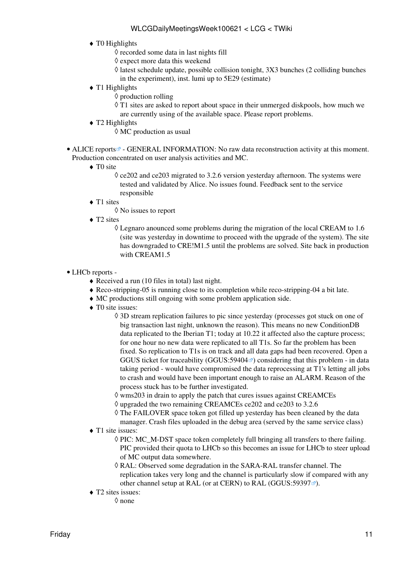- $\triangleleft$  T0 Highlights
	- ◊ recorded some data in last nights fill
	- ◊ expect more data this weekend
	- latest schedule update, possible collision tonight, 3X3 bunches (2 colliding bunches ◊ in the experiment), inst. lumi up to 5E29 (estimate)
- $\blacklozenge$  T1 Highlights
	- ◊ production rolling
	- ◊ T1 sites are asked to report about space in their unmerged diskpools, how much we are currently using of the available space. Please report problems.
- T2 Highlights ♦
	- ◊ MC production as usual
- ALICE [reports](http://alien2.cern.ch/index.php?option=com_content&view=article&id=75&Itemid=129)<sup>®</sup> GENERAL INFORMATION: No raw data reconstruction activity at this moment. Production concentrated on user analysis activities and MC.
	- ◆ TO site
		- $\Diamond$  ce202 and ce203 migrated to 3.2.6 version yesterday afternoon. The systems were tested and validated by Alice. No issues found. Feedback sent to the service responsible
	- ◆ T1 sites
		- ◊ No issues to report
	- ◆ T2 sites
		- Legnaro anounced some problems during the migration of the local [CREAM](https://twiki.cern.ch/twiki/bin/view/LCG/CREAM) to 1.6 ◊ (site was yesterday in downtime to proceed with the upgrade of the system). The site has downgraded to CRE!M1.5 until the problems are solved. Site back in production with CREAM1.5
- LHCb [reports](https://twiki.cern.ch/twiki/bin/view/LHCb/ProductionOperationsWLCGdailyReports) -
	- ♦ Received a run (10 files in total) last night.
	- ♦ Reco-stripping-05 is running close to its completion while reco-stripping-04 a bit late.
	- ♦ MC productions still ongoing with some problem application side.
	- ◆ T0 site issues:
		- 3D stream replication failures to pic since yesterday (processes got stuck on one of ◊ big transaction last night, unknown the reason). This means no new [ConditionDB](https://twiki.cern.ch/twiki/bin/edit/LCG/ConditionDB?topicparent=LCG.WLCGDailyMeetingsWeek100621;nowysiwyg=1) data replicated to the Iberian T1; today at 10.22 it affected also the capture process; for one hour no new data were replicated to all T1s. So far the problem has been fixed. So replication to T1s is on track and all data gaps had been recovered. Open a GGUS ticket for traceability (GGUS:  $59404\degree$ ) considering that this problem - in data taking period - would have compromised the data reprocessing at T1's letting all jobs to crash and would have been important enough to raise an ALARM. Reason of the process stuck has to be further investigated.
		- ◊ wms203 in drain to apply the patch that cures issues against CREAMCEs
		- $\Diamond$  upgraded the two remaining CREAMCEs ce202 and ce203 to 3.2.6
		- The FAILOVER space token got filled up yesterday has been cleaned by the data ◊ manager. Crash files uploaded in the debug area (served by the same service class)
	- ◆ T1 site issues:
		- ◊ PIC: MC\_M-DST space token completely full bringing all transfers to there failing. PIC provided their quota to LHCb so this becomes an issue for LHCb to steer upload of MC output data somewhere.
		- [RAL](https://twiki.cern.ch/twiki/bin/view/LCG/RAL): Observed some degradation in the SARA-RAL transfer channel. The ◊ replication takes very long and the channel is particularly slow if compared with any other channel setup at [RAL](https://twiki.cern.ch/twiki/bin/view/LCG/RAL) (or at CERN) to [RAL](https://twiki.cern.ch/twiki/bin/view/LCG/RAL) ([GGUS:59397](https://ggus.eu/ws/ticket_info.php?ticket=59397) $\mathbb{F}$ ).
	- T2 sites issues: ♦
		- ◊ none